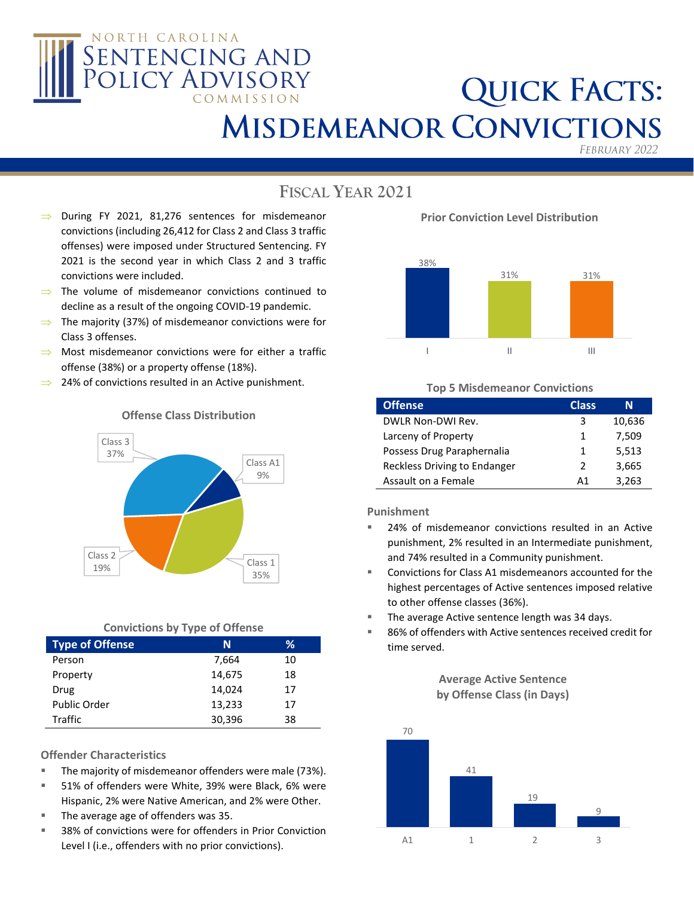

# **QUICK FACTS: MISDEMEANOR CONVICTIONS**

FEBRUARY 2022

## **FISCAL YEAR 2021**

- $\implies$  During FY 2021, 81,276 sentences for misdemeanor convictions (including 26,412 for Class 2 and Class 3 traffic offenses) were imposed under Structured Sentencing. FY 2021 is the second year in which Class 2 and 3 traffic convictions were included.
- $\Rightarrow$  The volume of misdemeanor convictions continued to decline as a result of the ongoing COVID-19 pandemic.
- $\Rightarrow$  The majority (37%) of misdemeanor convictions were for Class 3 offenses.
- $\implies$  Most misdemeanor convictions were for either a traffic offense (38%) or a property offense (18%).
- $\implies$  24% of convictions resulted in an Active punishment.



### **Offense Class Distribution**

### **Convictions by Type of Offense**

| <b>Type of Offense</b> | N      | ℅  |
|------------------------|--------|----|
| Person                 | 7,664  | 10 |
| Property               | 14,675 | 18 |
| Drug                   | 14,024 | 17 |
| Public Order           | 13,233 | 17 |
| Traffic                | 30,396 | 38 |

### **Offender Characteristics**

- The majority of misdemeanor offenders were male (73%).
- 51% of offenders were White, 39% were Black, 6% were Hispanic, 2% were Native American, and 2% were Other.
- The average age of offenders was 35.
- 38% of convictions were for offenders in Prior Conviction Level I (i.e., offenders with no prior convictions).

**Prior Conviction Level Distribution**



### **Top 5 Misdemeanor Convictions**

| <b>Offense</b>               | <b>Class</b> | N      |
|------------------------------|--------------|--------|
| DWLR Non-DWI Rev.            | 3            | 10,636 |
| Larceny of Property          | 1            | 7,509  |
| Possess Drug Paraphernalia   | 1            | 5,513  |
| Reckless Driving to Endanger | 2            | 3,665  |
| Assault on a Female          | А1           | 3,263  |

**Punishment**

- 24% of misdemeanor convictions resulted in an Active punishment, 2% resulted in an Intermediate punishment, and 74% resulted in a Community punishment.
- Convictions for Class A1 misdemeanors accounted for the highest percentages of Active sentences imposed relative to other offense classes (36%).
- The average Active sentence length was 34 days.
- 86% of offenders with Active sentences received credit for time served.

**Average Active Sentence by Offense Class (in Days)**